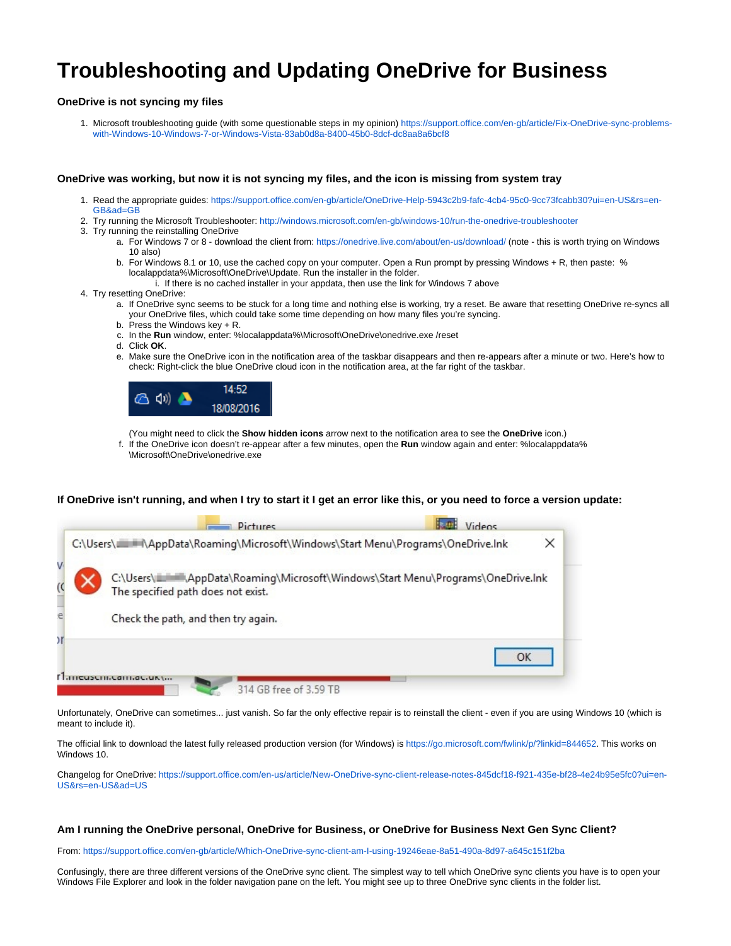# **Troubleshooting and Updating OneDrive for Business**

## **OneDrive is not syncing my files**

1. Microsoft troubleshooting guide (with some questionable steps in my opinion) [https://support.office.com/en-gb/article/Fix-OneDrive-sync-problems](https://support.office.com/en-gb/article/Fix-OneDrive-sync-problems-with-Windows-10-Windows-7-or-Windows-Vista-83ab0d8a-8400-45b0-8dcf-dc8aa8a6bcf8)[with-Windows-10-Windows-7-or-Windows-Vista-83ab0d8a-8400-45b0-8dcf-dc8aa8a6bcf8](https://support.office.com/en-gb/article/Fix-OneDrive-sync-problems-with-Windows-10-Windows-7-or-Windows-Vista-83ab0d8a-8400-45b0-8dcf-dc8aa8a6bcf8)

#### **OneDrive was working, but now it is not syncing my files, and the icon is missing from system tray**

- 1. Read the appropriate guides: [https://support.office.com/en-gb/article/OneDrive-Help-5943c2b9-fafc-4cb4-95c0-9cc73fcabb30?ui=en-US&rs=en-](https://support.office.com/en-gb/article/OneDrive-Help-5943c2b9-fafc-4cb4-95c0-9cc73fcabb30?ui=en-US&rs=en-GB&ad=GB)[GB&ad=GB](https://support.office.com/en-gb/article/OneDrive-Help-5943c2b9-fafc-4cb4-95c0-9cc73fcabb30?ui=en-US&rs=en-GB&ad=GB)
- 2. Try running the Microsoft Troubleshooter: <http://windows.microsoft.com/en-gb/windows-10/run-the-onedrive-troubleshooter>
- 3. Try running the reinstalling OneDrive
	- a. For Windows 7 or 8 download the client from:<https://onedrive.live.com/about/en-us/download/> (note this is worth trying on Windows 10 also)
	- b. For Windows 8.1 or 10, use the cached copy on your computer. Open a Run prompt by pressing Windows + R, then paste: % localappdata%\Microsoft\OneDrive\Update. Run the installer in the folder.
		- i. If there is no cached installer in your appdata, then use the link for Windows 7 above
- 4. Try resetting OneDrive:
	- a. If OneDrive sync seems to be stuck for a long time and nothing else is working, try a reset. Be aware that resetting OneDrive re-syncs all your OneDrive files, which could take some time depending on how many files you're syncing.
	- b. Press the Windows key + R.
	- c. In the **Run** window, enter: %localappdata%\Microsoft\OneDrive\onedrive.exe /reset
	- d. Click **OK**.
	- e. Make sure the OneDrive icon in the notification area of the taskbar disappears and then re-appears after a minute or two. Here's how to check: Right-click the blue OneDrive cloud icon in the notification area, at the far right of the taskbar.



(You might need to click the **Show hidden icons** arrow next to the notification area to see the **OneDrive** icon.)

f. If the OneDrive icon doesn't re-appear after a few minutes, open the **Run** window again and enter: %localappdata% \Microsoft\OneDrive\onedrive.exe

### **If OneDrive isn't running, and when I try to start it I get an error like this, or you need to force a version update:**

|    | Pictures                                                                                                                            | Videos |
|----|-------------------------------------------------------------------------------------------------------------------------------------|--------|
|    |                                                                                                                                     | ×      |
|    | C:\Users\IIIIIIIIIIIIIIIIIIAppData\Roaming\Microsoft\Windows\Start Menu\Programs\OneDrive.Ink<br>The specified path does not exist. |        |
|    | Check the path, and then try again.                                                                                                 |        |
| Σľ |                                                                                                                                     | OK     |
|    | Latthat.ur.<br>314 GB free of 3.59 TB                                                                                               |        |

Unfortunately, OneDrive can sometimes... just vanish. So far the only effective repair is to reinstall the client - even if you are using Windows 10 (which is meant to include it).

The official link to download the latest fully released production version (for Windows) is [https://go.microsoft.com/fwlink/p/?linkid=844652.](https://go.microsoft.com/fwlink/p/?linkid=844652) This works on Windows 10.

Changelog for OneDrive: [https://support.office.com/en-us/article/New-OneDrive-sync-client-release-notes-845dcf18-f921-435e-bf28-4e24b95e5fc0?ui=en-](https://support.office.com/en-us/article/New-OneDrive-sync-client-release-notes-845dcf18-f921-435e-bf28-4e24b95e5fc0?ui=en-US&rs=en-US&ad=US)[US&rs=en-US&ad=US](https://support.office.com/en-us/article/New-OneDrive-sync-client-release-notes-845dcf18-f921-435e-bf28-4e24b95e5fc0?ui=en-US&rs=en-US&ad=US)

#### **Am I running the OneDrive personal, OneDrive for Business, or OneDrive for Business Next Gen Sync Client?**

From: <https://support.office.com/en-gb/article/Which-OneDrive-sync-client-am-I-using-19246eae-8a51-490a-8d97-a645c151f2ba>

Confusingly, there are three different versions of the OneDrive sync client. The simplest way to tell which OneDrive sync clients you have is to open your Windows File Explorer and look in the folder navigation pane on the left. You might see up to three OneDrive sync clients in the folder list.